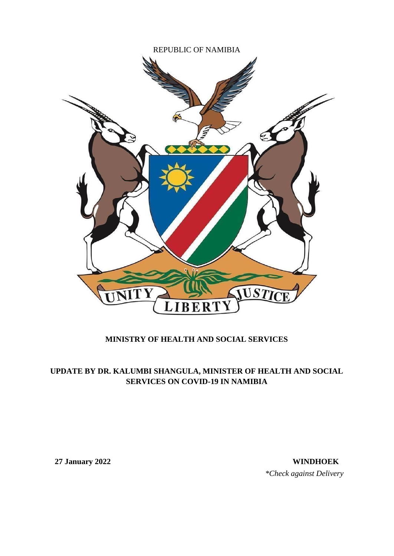

## **MINISTRY OF HEALTH AND SOCIAL SERVICES**

## **UPDATE BY DR. KALUMBI SHANGULA, MINISTER OF HEALTH AND SOCIAL SERVICES ON COVID-19 IN NAMIBIA**

**27 January 2022 WINDHOEK** *\*Check against Delivery*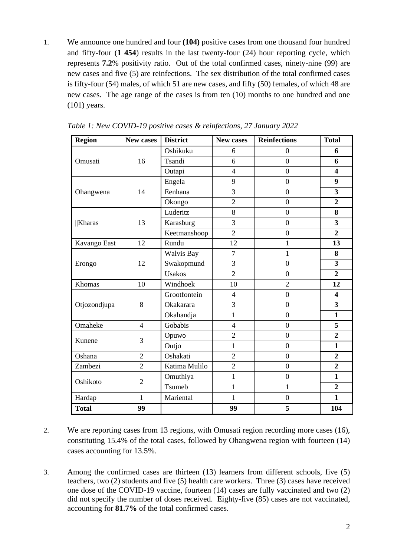1. We announce one hundred and four **(104)** positive cases from one thousand four hundred and fifty-four (**1 454**) results in the last twenty-four (24) hour reporting cycle, which represents **7.2**% positivity ratio. Out of the total confirmed cases, ninety-nine (99) are new cases and five (5) are reinfections. The sex distribution of the total confirmed cases is fifty-four (54) males, of which 51 are new cases, and fifty (50) females, of which 48 are new cases. The age range of the cases is from ten (10) months to one hundred and one (101) years.

| <b>Region</b> | New cases      | <b>District</b> | <b>New cases</b> | <b>Reinfections</b> | <b>Total</b>            |
|---------------|----------------|-----------------|------------------|---------------------|-------------------------|
|               |                | Oshikuku        | 6                | $\boldsymbol{0}$    | 6                       |
| Omusati       | 16             | Tsandi          | 6                | $\boldsymbol{0}$    | 6                       |
|               |                | Outapi          | $\overline{4}$   | $\boldsymbol{0}$    | $\overline{\mathbf{4}}$ |
|               |                | Engela          | 9                | $\overline{0}$      | 9                       |
| Ohangwena     | 14             | Eenhana         | 3                | $\overline{0}$      | 3                       |
|               |                | Okongo          | $\overline{2}$   | $\overline{0}$      | $\overline{2}$          |
|               |                | Luderitz        | 8                | $\overline{0}$      | 8                       |
| <b>Kharas</b> | 13             | Karasburg       | 3                | $\overline{0}$      | $\overline{\mathbf{3}}$ |
|               |                | Keetmanshoop    | $\overline{2}$   | $\overline{0}$      | $\overline{2}$          |
| Kavango East  | 12             | Rundu           | 12               | $\mathbf{1}$        | 13                      |
| Erongo        | 12             | Walvis Bay      | $\overline{7}$   | 1                   | 8                       |
|               |                | Swakopmund      | 3                | $\overline{0}$      | 3                       |
|               |                | <b>Usakos</b>   | $\overline{2}$   | $\overline{0}$      | $\overline{2}$          |
| Khomas        | 10             | Windhoek        | 10               | $\overline{2}$      | 12                      |
|               |                | Grootfontein    | $\overline{4}$   | $\overline{0}$      | $\overline{\mathbf{4}}$ |
| Otjozondjupa  | 8              | Okakarara       | $\overline{3}$   | $\boldsymbol{0}$    | $\overline{\mathbf{3}}$ |
|               |                | Okahandja       | $\mathbf{1}$     | $\overline{0}$      | $\mathbf{1}$            |
| Omaheke       | $\overline{4}$ | Gobabis         | $\overline{4}$   | $\boldsymbol{0}$    | 5                       |
| Kunene        | 3              | Opuwo           | $\overline{2}$   | $\boldsymbol{0}$    | $\overline{2}$          |
|               |                | Outjo           | $\mathbf{1}$     | $\boldsymbol{0}$    | $\mathbf{1}$            |
| Oshana        | $\overline{2}$ | Oshakati        | $\overline{2}$   | $\overline{0}$      | $\overline{2}$          |
| Zambezi       | $\overline{2}$ | Katima Mulilo   | $\overline{2}$   | $\overline{0}$      | $\overline{2}$          |
| Oshikoto      | $\overline{2}$ | Omuthiya        | $\mathbf{1}$     | $\boldsymbol{0}$    | $\mathbf{1}$            |
|               |                | Tsumeb          | $\mathbf{1}$     | $\mathbf{1}$        | $\overline{2}$          |
| Hardap        | $\mathbf{1}$   | Mariental       | $\mathbf{1}$     | $\boldsymbol{0}$    | $\mathbf{1}$            |
| <b>Total</b>  | 99             |                 | 99               | 5                   | 104                     |

*Table 1: New COVID-19 positive cases & reinfections, 27 January 2022*

- 2. We are reporting cases from 13 regions, with Omusati region recording more cases (16), constituting 15.4% of the total cases, followed by Ohangwena region with fourteen (14) cases accounting for 13.5%.
- 3. Among the confirmed cases are thirteen (13) learners from different schools, five (5) teachers, two (2) students and five (5) health care workers. Three (3) cases have received one dose of the COVID-19 vaccine, fourteen (14) cases are fully vaccinated and two (2) did not specify the number of doses received. Eighty-five (85) cases are not vaccinated, accounting for **81.7%** of the total confirmed cases.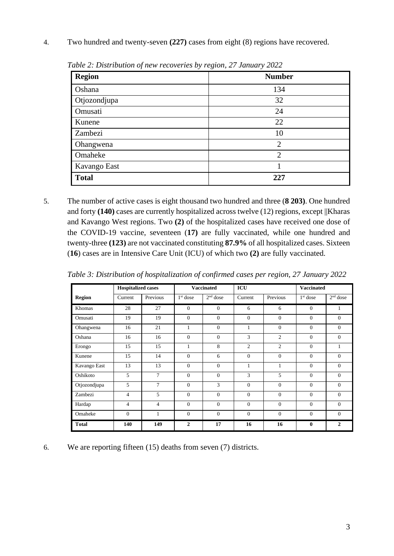4. Two hundred and twenty-seven **(227)** cases from eight (8) regions have recovered.

| <b>Region</b> | <b>Number</b>  |
|---------------|----------------|
| Oshana        | 134            |
| Otjozondjupa  | 32             |
| Omusati       | 24             |
| Kunene        | 22             |
| Zambezi       | 10             |
| Ohangwena     | $\overline{2}$ |
| Omaheke       | $\overline{2}$ |
| Kavango East  |                |
| <b>Total</b>  | 227            |

*Table 2: Distribution of new recoveries by region, 27 January 2022*

5. The number of active cases is eight thousand two hundred and three (**8 203)**. One hundred and forty **(140)** cases are currently hospitalized across twelve (12) regions, except ||Kharas and Kavango West regions. Two **(2)** of the hospitalized cases have received one dose of the COVID-19 vaccine, seventeen (**17)** are fully vaccinated, while one hundred and twenty-three **(123)** are not vaccinated constituting **87.9%** of all hospitalized cases. Sixteen (**16**) cases are in Intensive Care Unit (ICU) of which two **(2)** are fully vaccinated.

| Table 3: Distribution of hospitalization of confirmed cases per region, 27 January 2022 |  |  |
|-----------------------------------------------------------------------------------------|--|--|
|                                                                                         |  |  |

|               | <b>Hospitalized cases</b> |                |              | <b>Vaccinated</b> | ICU            |                |              | <b>Vaccinated</b> |  |
|---------------|---------------------------|----------------|--------------|-------------------|----------------|----------------|--------------|-------------------|--|
| <b>Region</b> | Current                   | Previous       | $1st$ dose   | $2nd$ dose        | Current        | Previous       | $1st$ dose   | $2nd$ dose        |  |
| Khomas        | 28                        | 27             | $\Omega$     | $\mathbf{0}$      | 6              | 6              | $\mathbf{0}$ | 1                 |  |
| Omusati       | 19                        | 19             | $\Omega$     | $\Omega$          | $\Omega$       | $\Omega$       | $\Omega$     | $\Omega$          |  |
| Ohangwena     | 16                        | 21             | 1            | $\Omega$          | 1              | $\Omega$       | $\Omega$     | $\Omega$          |  |
| Oshana        | 16                        | 16             | $\Omega$     | $\Omega$          | 3              | $\overline{2}$ | $\Omega$     | $\Omega$          |  |
| Erongo        | 15                        | 15             | 1            | 8                 | $\overline{2}$ | $\overline{2}$ | $\Omega$     | 1                 |  |
| Kunene        | 15                        | 14             | $\Omega$     | 6                 | $\Omega$       | $\Omega$       | $\Omega$     | $\Omega$          |  |
| Kavango East  | 13                        | 13             | $\Omega$     | $\Omega$          | 1              | 1              | $\Omega$     | $\Omega$          |  |
| Oshikoto      | 5                         | $\overline{7}$ | $\Omega$     | $\Omega$          | 3              | 5              | $\Omega$     | $\Omega$          |  |
| Otjozondjupa  | 5                         | $\overline{7}$ | $\Omega$     | 3                 | $\Omega$       | $\Omega$       | $\mathbf{0}$ | $\Omega$          |  |
| Zambezi       | 4                         | 5              | $\Omega$     | $\Omega$          | $\Omega$       | $\Omega$       | $\Omega$     | $\Omega$          |  |
| Hardap        | $\overline{4}$            | 4              | $\Omega$     | $\Omega$          | $\Omega$       | $\Omega$       | $\Omega$     | $\Omega$          |  |
| Omaheke       | $\overline{0}$            | $\mathbf{1}$   | $\Omega$     | $\Omega$          | $\Omega$       | $\Omega$       | $\theta$     | $\Omega$          |  |
| <b>Total</b>  | 140                       | 149            | $\mathbf{2}$ | 17                | 16             | 16             | $\mathbf{0}$ | $\overline{c}$    |  |

6. We are reporting fifteen (15) deaths from seven (7) districts.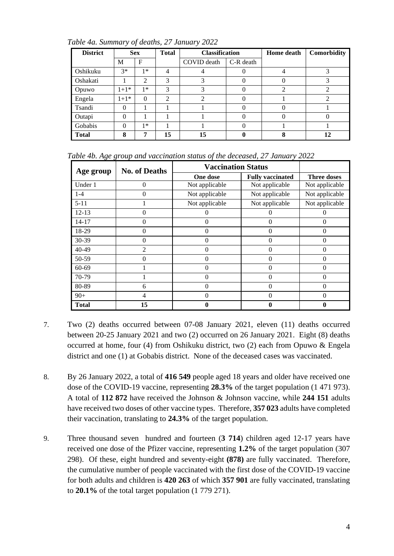| <b>District</b> |          | <b>Sex</b> | <b>Total</b> | <b>Classification</b> |            | <b>Home</b> death | Comorbidity |
|-----------------|----------|------------|--------------|-----------------------|------------|-------------------|-------------|
|                 | М        | F          |              | COVID death           | C-R death  |                   |             |
| Oshikuku        | $3*$     | $1*$       | 4            |                       | 0          |                   | 3           |
| Oshakati        |          | 2          | 3            | 3                     | $\theta$   |                   | 3           |
| Opuwo           | $1+1*$   | $1*$       | 3            | 3                     | $\left($ ) |                   |             |
| Engela          | $1+1*$   | $\Omega$   | 2            | ↑                     | $\theta$   |                   | ∍           |
| Tsandi          | $\Omega$ |            |              |                       | $\theta$   |                   |             |
| Outapi          | $\Omega$ |            |              |                       | 0          |                   |             |
| Gobabis         | $\Omega$ | *          |              |                       | $\theta$   |                   |             |
| <b>Total</b>    | 8        | 7          | 15           | 15                    |            |                   | 12          |

*Table 4a. Summary of deaths, 27 January 2022*

*Table 4b. Age group and vaccination status of the deceased, 27 January 2022*

| Age group | <b>No. of Deaths</b> | <b>Vaccination Status</b> |                         |                    |  |
|-----------|----------------------|---------------------------|-------------------------|--------------------|--|
|           |                      | One dose                  | <b>Fully vaccinated</b> | <b>Three doses</b> |  |
| Under 1   | 0                    | Not applicable            | Not applicable          | Not applicable     |  |
| $1 - 4$   | 0                    | Not applicable            | Not applicable          | Not applicable     |  |
| $5 - 11$  |                      | Not applicable            | Not applicable          | Not applicable     |  |
| $12 - 13$ | 0                    | $\Omega$                  | 0                       | 0                  |  |
| 14-17     | 0                    | 0                         | 0                       | $_{0}$             |  |
| 18-29     | 0                    | $\Omega$                  | 0                       | 0                  |  |
| 30-39     | 0                    | $\theta$                  | $\theta$                | 0                  |  |
| 40-49     | $\overline{2}$       | $\Omega$                  | $\Omega$                | 0                  |  |
| 50-59     | 0                    | $\Omega$                  | $\Omega$                | 0                  |  |
| 60-69     |                      | $\Omega$                  | 0                       | 0                  |  |
| 70-79     |                      | $\Omega$                  | 0                       | 0                  |  |
| 80-89     | 6                    | $\theta$                  | $\theta$                | 0                  |  |
| $90+$     | 4                    | $\Omega$                  | 0                       | 0                  |  |
| Total     | 15                   | 0                         |                         |                    |  |

- 7. Two (2) deaths occurred between 07-08 January 2021, eleven (11) deaths occurred between 20-25 January 2021 and two (2) occurred on 26 January 2021. Eight (8) deaths occurred at home, four (4) from Oshikuku district, two (2) each from Opuwo & Engela district and one (1) at Gobabis district. None of the deceased cases was vaccinated.
- 8. By 26 January 2022, a total of **416 549** people aged 18 years and older have received one dose of the COVID-19 vaccine, representing **28.3%** of the target population (1 471 973). A total of **112 872** have received the Johnson & Johnson vaccine, while **244 151** adults have received two doses of other vaccine types. Therefore, **357 023** adults have completed their vaccination, translating to **24.3%** of the target population.
- 9. Three thousand seven hundred and fourteen (**3 714**) children aged 12-17 years have received one dose of the Pfizer vaccine, representing **1.2%** of the target population (307 298). Of these, eight hundred and seventy-eight **(878)** are fully vaccinated. Therefore, the cumulative number of people vaccinated with the first dose of the COVID-19 vaccine for both adults and children is **420 263** of which **357 901** are fully vaccinated, translating to **20.1%** of the total target population (1 779 271).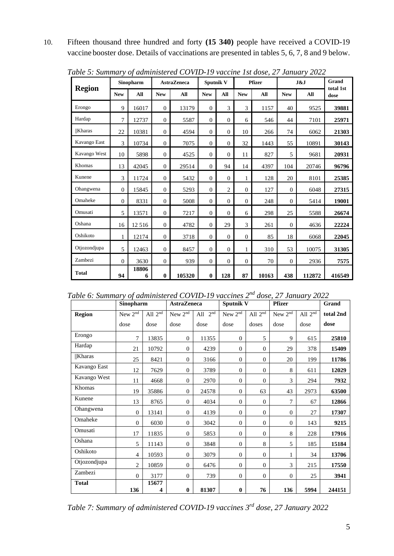10. Fifteen thousand three hundred and forty **(15 340)** people have received a COVID-19 vaccine booster dose. Details of vaccinations are presented in tables 5, 6, 7, 8 and 9 below.

|               |            | Sinopharm  |              | <b>AstraZeneca</b> |              | <b>Sputnik V</b> |              | <b>Pfizer</b> |              | J&J    | Grand<br>total 1st |
|---------------|------------|------------|--------------|--------------------|--------------|------------------|--------------|---------------|--------------|--------|--------------------|
| <b>Region</b> | <b>New</b> | All        | <b>New</b>   | All                | <b>New</b>   | All              | <b>New</b>   | All           | <b>New</b>   | All    | dose               |
| Erongo        | 9          | 16017      | $\theta$     | 13179              | $\mathbf{0}$ | 3                | 3            | 1157          | 40           | 9525   | 39881              |
| Hardap        | 7          | 12737      | $\theta$     | 5587               | $\mathbf{0}$ | $\mathbf{0}$     | 6            | 546           | 44           | 7101   | 25971              |
| <b>Kharas</b> | 22         | 10381      | $\mathbf{0}$ | 4594               | $\mathbf{0}$ | $\mathbf{0}$     | 10           | 266           | 74           | 6062   | 21303              |
| Kavango East  | 3          | 10734      | $\mathbf{0}$ | 7075               | $\mathbf{0}$ | $\mathbf{0}$     | 32           | 1443          | 55           | 10891  | 30143              |
| Kavango West  | 10         | 5898       | $\theta$     | 4525               | $\mathbf{0}$ | $\Omega$         | 11           | 827           | 5            | 9681   | 20931              |
| Khomas        | 13         | 42045      | $\mathbf{0}$ | 29514              | $\mathbf{0}$ | 94               | 14           | 4397          | 104          | 20746  | 96796              |
| Kunene        | 3          | 11724      | $\theta$     | 5432               | $\theta$     | $\mathbf{0}$     | 1            | 128           | 20           | 8101   | 25385              |
| Ohangwena     | $\Omega$   | 15845      | $\theta$     | 5293               | $\mathbf{0}$ | 2                | $\mathbf{0}$ | 127           | $\mathbf{0}$ | 6048   | 27315              |
| Omaheke       | $\Omega$   | 8331       | $\mathbf{0}$ | 5008               | $\mathbf{0}$ | $\Omega$         | $\Omega$     | 248           | $\mathbf{0}$ | 5414   | 19001              |
| Omusati       | 5          | 13571      | $\mathbf{0}$ | 7217               | $\mathbf{0}$ | $\mathbf{0}$     | 6            | 298           | 25           | 5588   | 26674              |
| Oshana        | 16         | 12 5 16    | $\mathbf{0}$ | 4782               | $\mathbf{0}$ | 29               | 3            | 261           | $\mathbf{0}$ | 4636   | 22224              |
| Oshikoto      | 1          | 12174      | $\mathbf{0}$ | 3718               | $\mathbf{0}$ | $\mathbf{0}$     | $\mathbf{0}$ | 85            | 18           | 6068   | 22045              |
| Otjozondjupa  | 5          | 12463      | $\theta$     | 8457               | $\Omega$     | $\Omega$         | $\mathbf{1}$ | 310           | 53           | 10075  | 31305              |
| Zambezi       | $\Omega$   | 3630       | $\theta$     | 939                | $\mathbf{0}$ | $\mathbf{0}$     | $\theta$     | 70            | $\mathbf{0}$ | 2936   | 7575               |
| <b>Total</b>  | 94         | 18806<br>6 | $\mathbf{0}$ | 105320             | $\mathbf{0}$ | 128              | 87           | 10163         | 438          | 112872 | 416549             |

*Table 5: Summary of administered COVID-19 vaccine 1st dose, 27 January 2022*

*Table 6: Summary of administered COVID-19 vaccines 2nd dose, 27 January 2022*

|               | Sinopharm<br><b>AstraZeneca</b> |            | Sputnik V           |                                | <b>Pfizer</b>       |                                | Grand               |           |           |
|---------------|---------------------------------|------------|---------------------|--------------------------------|---------------------|--------------------------------|---------------------|-----------|-----------|
| <b>Region</b> | New 2 <sup>nd</sup>             | All $2nd$  | New 2 <sup>nd</sup> | All $2^{\overline{\text{nd}}}$ | New 2 <sup>nd</sup> | All $2^{\overline{\text{nd}}}$ | New 2 <sup>nd</sup> | All $2nd$ | total 2nd |
|               | dose                            | dose       | dose                | dose                           | dose                | doses                          | dose                | dose      | dose      |
| Erongo        | 7                               | 13835      | $\mathbf{0}$        | 11355                          | $\overline{0}$      | 5                              | 9                   | 615       | 25810     |
| Hardap        | 21                              | 10792      | $\theta$            | 4239                           | $\mathbf{0}$        | $\overline{0}$                 | 29                  | 378       | 15409     |
| <b>Kharas</b> | 25                              | 8421       | $\theta$            | 3166                           | $\boldsymbol{0}$    | $\overline{0}$                 | 20                  | 199       | 11786     |
| Kavango East  | 12                              | 7629       | $\theta$            | 3789                           | $\theta$            | $\overline{0}$                 | 8                   | 611       | 12029     |
| Kavango West  | 11                              | 4668       | $\mathbf{0}$        | 2970                           | $\overline{0}$      | $\overline{0}$                 | 3                   | 294       | 7932      |
| Khomas        | 19                              | 35886      | $\theta$            | 24578                          | $\overline{0}$      | 63                             | 43                  | 2973      | 63500     |
| Kunene        | 13                              | 8765       | $\theta$            | 4034                           | $\overline{0}$      | $\overline{0}$                 | 7                   | 67        | 12866     |
| Ohangwena     | $\theta$                        | 13141      | $\theta$            | 4139                           | $\mathbf{0}$        | $\theta$                       | $\overline{0}$      | 27        | 17307     |
| Omaheke       | $\overline{0}$                  | 6030       | $\theta$            | 3042                           | $\mathbf{0}$        | $\overline{0}$                 | $\overline{0}$      | 143       | 9215      |
| Omusati       | 17                              | 11835      | $\theta$            | 5853                           | $\overline{0}$      | $\overline{0}$                 | 8                   | 228       | 17916     |
| Oshana        | 5                               | 11143      | $\mathbf{0}$        | 3848                           | $\mathbf{0}$        | 8                              | 5                   | 185       | 15184     |
| Oshikoto      | $\overline{4}$                  | 10593      | $\theta$            | 3079                           | $\mathbf{0}$        | $\overline{0}$                 | 1                   | 34        | 13706     |
| Otjozondjupa  | $\overline{c}$                  | 10859      | $\theta$            | 6476                           | $\overline{0}$      | $\overline{0}$                 | 3                   | 215       | 17550     |
| Zambezi       | $\overline{0}$                  | 3177       | $\mathbf{0}$        | 739                            | $\overline{0}$      | $\overline{0}$                 | $\overline{0}$      | 25        | 3941      |
| <b>Total</b>  | 136                             | 15677<br>4 | $\boldsymbol{0}$    | 81307                          | $\bf{0}$            | 76                             | 136                 | 5994      | 244151    |

*Table 7: Summary of administered COVID-19 vaccines 3rd dose, 27 January 2022*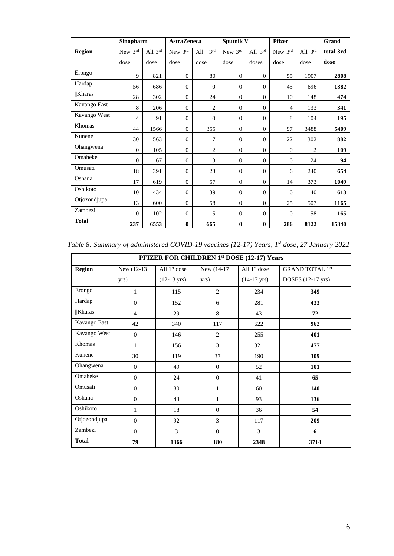|               | Sinopharm      |           | <b>AstraZeneca</b> |                        | <b>Sputnik V</b> |                  | <b>Pfizer</b>  |                | Grand     |
|---------------|----------------|-----------|--------------------|------------------------|------------------|------------------|----------------|----------------|-----------|
| <b>Region</b> | New $3rd$      | All $3rd$ | New 3rd            | 3 <sup>rd</sup><br>All | New 3rd          | All $3^{rd}$     | New 3rd        | All $3rd$      | total 3rd |
|               | dose           | dose      | dose               | dose                   | dose             | doses            | dose           | dose           | dose      |
| Erongo        | 9              | 821       | $\overline{0}$     | 80                     | $\overline{0}$   | $\overline{0}$   | 55             | 1907           | 2808      |
| Hardap        | 56             | 686       | $\theta$           | $\boldsymbol{0}$       | $\mathbf{0}$     | $\overline{0}$   | 45             | 696            | 1382      |
| Kharas        | 28             | 302       | $\theta$           | 24                     | $\mathbf{0}$     | $\boldsymbol{0}$ | 10             | 148            | 474       |
| Kavango East  | 8              | 206       | $\overline{0}$     | $\overline{c}$         | $\mathbf{0}$     | $\overline{0}$   | 4              | 133            | 341       |
| Kavango West  | $\overline{4}$ | 91        | $\overline{0}$     | $\theta$               | $\mathbf{0}$     | $\overline{0}$   | 8              | 104            | 195       |
| Khomas        | 44             | 1566      | $\overline{0}$     | 355                    | $\mathbf{0}$     | $\theta$         | 97             | 3488           | 5409      |
| Kunene        | 30             | 563       | $\overline{0}$     | 17                     | $\mathbf{0}$     | $\overline{0}$   | 22             | 302            | 882       |
| Ohangwena     | $\theta$       | 105       | $\overline{0}$     | $\overline{c}$         | $\mathbf{0}$     | $\theta$         | $\mathbf{0}$   | $\overline{c}$ | 109       |
| Omaheke       | $\Omega$       | 67        | $\Omega$           | 3                      | $\mathbf{0}$     | $\Omega$         | $\overline{0}$ | 24             | 94        |
| Omusati       | 18             | 391       | $\Omega$           | 23                     | $\mathbf{0}$     | $\overline{0}$   | 6              | 240            | 654       |
| Oshana        | 17             | 619       | $\Omega$           | 57                     | $\mathbf{0}$     | $\overline{0}$   | 14             | 373            | 1049      |
| Oshikoto      | 10             | 434       | $\overline{0}$     | 39                     | $\mathbf{0}$     | $\overline{0}$   | $\overline{0}$ | 140            | 613       |
| Otjozondjupa  | 13             | 600       | $\overline{0}$     | 58                     | $\mathbf{0}$     | $\overline{0}$   | 25             | 507            | 1165      |
| Zambezi       | $\mathbf{0}$   | 102       | $\overline{0}$     | 5                      | $\mathbf{0}$     | $\boldsymbol{0}$ | $\mathbf{0}$   | 58             | 165       |
| <b>Total</b>  | 237            | 6553      | $\bf{0}$           | 665                    | $\bf{0}$         | $\bf{0}$         | 286            | 8122           | 15340     |

*Table 8: Summary of administered COVID-19 vaccines (12-17) Years, 1st dose, 27 January 2022*

| PFIZER FOR CHILDREN 1st DOSE (12-17) Years |                |                       |                |                       |                        |  |  |  |
|--------------------------------------------|----------------|-----------------------|----------------|-----------------------|------------------------|--|--|--|
| <b>Region</b>                              | New (12-13)    | All $1st$ dose        | New (14-17)    | All $1st$ dose        | <b>GRAND TOTAL 1st</b> |  |  |  |
|                                            | yrs)           | $(12-13 \text{ yrs})$ | yrs)           | $(14-17 \text{ yrs})$ | DOSES (12-17 yrs)      |  |  |  |
| Erongo                                     | $\mathbf{1}$   | 115                   | 2              | 234                   | 349                    |  |  |  |
| Hardap                                     | $\theta$       | 152                   | 6              | 281                   | 433                    |  |  |  |
| $  $ Kharas                                | $\overline{4}$ | 29                    | 8              | 43                    | 72                     |  |  |  |
| Kavango East                               | 42             | 340                   | 117            | 622                   | 962                    |  |  |  |
| Kavango West                               | $\theta$       | 146                   | $\overline{2}$ | 255                   | 401                    |  |  |  |
| Khomas                                     | $\mathbf{1}$   | 156                   | 3              | 321                   | 477                    |  |  |  |
| Kunene                                     | 30             | 119                   | 37             | 190                   | 309                    |  |  |  |
| Ohangwena                                  | $\Omega$       | 49                    | $\Omega$       | 52                    | 101                    |  |  |  |
| Omaheke                                    | $\mathbf{0}$   | 24                    | $\mathbf{0}$   | 41                    | 65                     |  |  |  |
| Omusati                                    | $\Omega$       | 80                    | 1              | 60                    | 140                    |  |  |  |
| Oshana                                     | $\mathbf{0}$   | 43                    | $\mathbf{1}$   | 93                    | 136                    |  |  |  |
| Oshikoto                                   | $\mathbf{1}$   | 18                    | $\mathbf{0}$   | 36                    | 54                     |  |  |  |
| Otjozondjupa                               | $\Omega$       | 92                    | 3              | 117                   | 209                    |  |  |  |
| Zambezi                                    | $\Omega$       | 3                     | $\Omega$       | 3                     | 6                      |  |  |  |
| <b>Total</b>                               | 79             | 1366                  | 180            | 2348                  | 3714                   |  |  |  |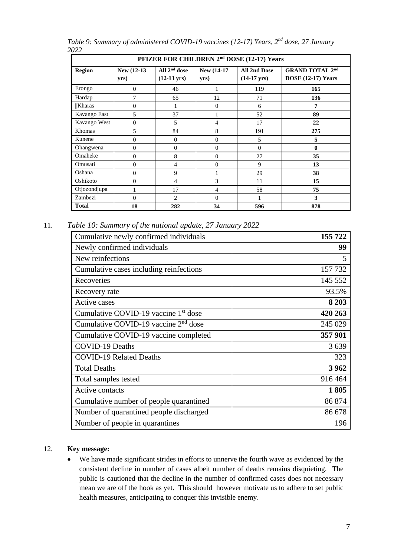| PFIZER FOR CHILDREN 2 <sup>nd</sup> DOSE (12-17) Years |                     |                                         |                     |                                              |                                                     |  |  |
|--------------------------------------------------------|---------------------|-----------------------------------------|---------------------|----------------------------------------------|-----------------------------------------------------|--|--|
| <b>Region</b>                                          | New (12-13)<br>yrs) | All $2nd$ dose<br>$(12-13 \text{ yrs})$ | New (14-17)<br>yrs) | <b>All 2nd Dose</b><br>$(14-17 \text{ yrs})$ | <b>GRAND TOTAL 2nd</b><br><b>DOSE</b> (12-17) Years |  |  |
| Erongo                                                 | $\mathbf{0}$        | 46                                      |                     | 119                                          | 165                                                 |  |  |
| Hardap                                                 | $\tau$              | 65                                      | 12                  | 71                                           | 136                                                 |  |  |
| Kharas                                                 | $\theta$            | 1                                       | $\mathbf{0}$        | 6                                            | 7                                                   |  |  |
| Kavango East                                           | 5                   | 37                                      |                     | 52                                           | 89                                                  |  |  |
| Kavango West                                           | $\overline{0}$      | 5                                       | 4                   | 17                                           | 22                                                  |  |  |
| Khomas                                                 | 5                   | 84                                      | 8                   | 191                                          | 275                                                 |  |  |
| Kunene                                                 | $\overline{0}$      | $\overline{0}$                          | $\theta$            | 5                                            | 5                                                   |  |  |
| Ohangwena                                              | $\theta$            | $\overline{0}$                          | $\Omega$            | $\Omega$                                     | $\mathbf{0}$                                        |  |  |
| Omaheke                                                | $\theta$            | 8                                       | $\Omega$            | 27                                           | 35                                                  |  |  |
| Omusati                                                | $\theta$            | $\overline{4}$                          | $\Omega$            | 9                                            | 13                                                  |  |  |
| Oshana                                                 | $\Omega$            | 9                                       |                     | 29                                           | 38                                                  |  |  |
| Oshikoto                                               | $\Omega$            | 4                                       | 3                   | 11                                           | 15                                                  |  |  |
| Otjozondjupa                                           | 1                   | 17                                      | $\overline{4}$      | 58                                           | 75                                                  |  |  |
| Zambezi                                                | $\Omega$            | $\overline{c}$                          | $\Omega$            | 1                                            | 3                                                   |  |  |
| <b>Total</b>                                           | 18                  | 282                                     | 34                  | 596                                          | 878                                                 |  |  |

*Table 9: Summary of administered COVID-19 vaccines (12-17) Years, 2<sup>nd</sup> dose, 27 January 2022*

11. *Table 10: Summary of the national update, 27 January 2022*

| Cumulative newly confirmed individuals           | 155 722 |
|--------------------------------------------------|---------|
| Newly confirmed individuals                      | 99      |
| New reinfections                                 | 5       |
| Cumulative cases including reinfections          | 157 732 |
| Recoveries                                       | 145 552 |
| Recovery rate                                    | 93.5%   |
| Active cases                                     | 8 2 0 3 |
| Cumulative COVID-19 vaccine 1 <sup>st</sup> dose | 420 263 |
| Cumulative COVID-19 vaccine $2nd$ dose           | 245 029 |
| Cumulative COVID-19 vaccine completed            | 357 901 |
| <b>COVID-19 Deaths</b>                           | 3639    |
| <b>COVID-19 Related Deaths</b>                   | 323     |
| <b>Total Deaths</b>                              | 3962    |
| Total samples tested                             | 916 464 |
| Active contacts                                  | 1805    |
| Cumulative number of people quarantined          | 86 874  |
| Number of quarantined people discharged          | 86 678  |
| Number of people in quarantines                  | 196     |

## 12. **Key message:**

• We have made significant strides in efforts to unnerve the fourth wave as evidenced by the consistent decline in number of cases albeit number of deaths remains disquieting. The public is cautioned that the decline in the number of confirmed cases does not necessary mean we are off the hook as yet. This should however motivate us to adhere to set public health measures, anticipating to conquer this invisible enemy.